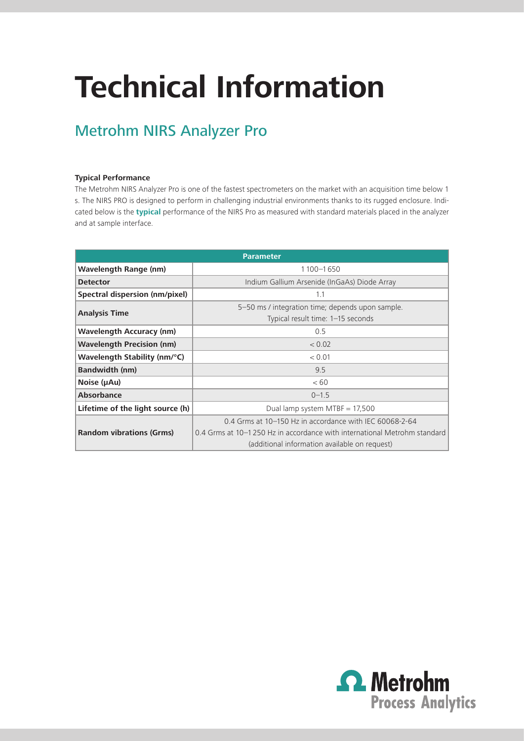# **Technical Information**

## Metrohm NIRS Analyzer Pro

#### **Typical Performance**

The Metrohm NIRS Analyzer Pro is one of the fastest spectrometers on the market with an acquisition time below 1 s. The NIRS PRO is designed to perform in challenging industrial environments thanks to its rugged enclosure. Indicated below is the **typical** performance of the NIRS Pro as measured with standard materials placed in the analyzer and at sample interface.

| <b>Parameter</b>                      |                                                                          |  |
|---------------------------------------|--------------------------------------------------------------------------|--|
| Wavelength Range (nm)                 | 1100-1650                                                                |  |
| <b>Detector</b>                       | Indium Gallium Arsenide (InGaAs) Diode Array                             |  |
| <b>Spectral dispersion (nm/pixel)</b> | 1.1                                                                      |  |
| <b>Analysis Time</b>                  | 5-50 ms / integration time; depends upon sample.                         |  |
|                                       | Typical result time: 1-15 seconds                                        |  |
| Wavelength Accuracy (nm)              | 0.5                                                                      |  |
| <b>Wavelength Precision (nm)</b>      | < 0.02                                                                   |  |
| Wavelength Stability (nm/°C)          | < 0.01                                                                   |  |
| <b>Bandwidth (nm)</b>                 | 9.5                                                                      |  |
| Noise (µAu)                           | < 60                                                                     |  |
| <b>Absorbance</b>                     | $0 - 1.5$                                                                |  |
| Lifetime of the light source (h)      | Dual lamp system MTBF = $17,500$                                         |  |
| <b>Random vibrations (Grms)</b>       | 0.4 Grms at 10-150 Hz in accordance with IEC 60068-2-64                  |  |
|                                       | 0.4 Grms at 10–1250 Hz in accordance with international Metrohm standard |  |
|                                       | (additional information available on request)                            |  |